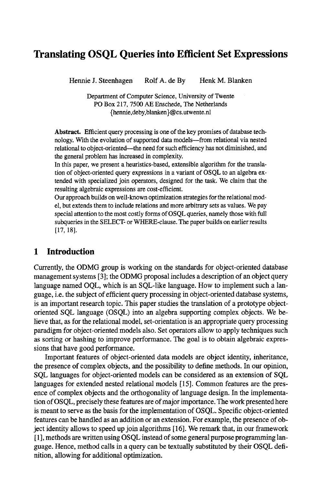# **Translating OSQL Queries into Efficient Set Expressions**

Hennie J. Steenhagen Rolf A. de By Henk M. Blanken

Department of Computer Science, University of Twente PO Box 217, 7500 AE Enschede, The Netherlands {hennie,deby, blanken}@cs.utwente.nl

**Abstract.** Efficient query processing is one of the key promises of database technology. With the evolution of supported data models--from relational via nested relational to object-oriented-the need for such efficiency has not diminished, and the general problem has increased in complexity.

In this paper, we present a heuristics-based, extensible algorithm for the translation of object-oriented query expressions in a variant of OSQL to an algebra extended with specialized join operators, designed for the task. We claim that the resulting algebraic expressions are cost-efficient.

Our approach builds on well-known optimization strategies for the relational model, but extends them to include relations and more arbitrary sets as values. We pay special attention to the most costly forms of OSQL queries, namely those with full subqueries in the SELECT- or WHERE-clause. The paper builds on earlier results [17, 18].

# **1 Introduction**

Currently, the ODMG group is working on the standards for object-oriented database management systems [3]; the ODMG proposal includes a description of an object query language named OQL, which is an SQL-like language. How to implement such a language, i.e. the subject of efficient query processing in object-oriented database systems, is an important research topic. This paper studies the translation of a prototype objectoriented SQL language (OSQL) into an algebra supporting complex objects. We believe that, as for the relational model, set-orientation is an appropriate query processing paradigm for object-oriented models also. Set operators allow to apply techniques such as sorting or hashing to improve performance. The goal is to obtain algebraic expressions that have good performance.

Important features of object-oriented data models are object identity, inheritance, the presence of complex objects, and the possibility to define methods. In our opinion, SQL languages for object-oriented models can be considered as an extension of SQL languages for extended nested relational models [15]. Common features are the presence of complex objects and the orthogonality of language design. In the implementation of OSQL, precisely these features are of major importance. The work presented here is meant to serve as the basis for the implementation of OSQL. Specific object-oriented features can be handled as an addition or an extension. For example, the presence of object identity allows to speed up join algorithms [16]. We remark that, in our framework [1], methods are written using OSQL instead of some general purpose programming language. Hence, method calls in a query can be textually substituted by their OSQL definition, allowing for additional optimization.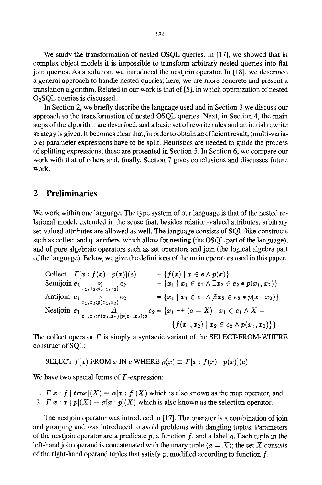We study the transformation of nested OSQL queries. In [17], we showed that in complex object models it is impossible to transform arbitrary nested queries into flat join queries. As a solution, we introduced the nestjoin operator. In [18], we described a general approach to handle nested queries; here, we are more concrete and present a translation algorithm. Related to our work is that of [5], in which optimization of nested O2SQL queries is discussed.

In Section 2, we briefly describe the language used and in Section 3 we discuss our approach to the transformation of nested OSQL queries. Next, in Section 4, the main steps of the algorithm are described, and a basic set of rewrite rules and an initial rewrite strategy is given. It becomes clear that, in order to obtain an efficient result, (multi-variable) parameter expressions have to be split. Heuristics are needed to guide the process of splitting expressions; these are presented in Section 5. In Section 6, we compare our work with that of others and, finally, Section 7 gives conclusions and discusses future work.

# **2 Preliminaries**

We work within one language, The type system of our language is that of the nested relational model, extended in the sense that, besides relation-valued attributes, arbitrary set-valued attributes are allowed as well. The language consists of SQL-like constructs such as collect and quantifiers, which allow for nesting (the OSQL part of the language), and of pure algebraic operators such as set operators and join (the logical algebra part of the language). Below, we give the definitions of the main operators used in this paper.

| Collect $\Gamma[x : f(x)   p(x)](e)$                                            | $=\{f(x)   x \in e \wedge p(x)\}\$                                                                                                       |
|---------------------------------------------------------------------------------|------------------------------------------------------------------------------------------------------------------------------------------|
| Semijoin $e_1 \underset{x_1,x_2: p(x_1,x_2)}{\ltimes} e_2$                      | $= \{x_1 \mid x_1 \in e_1 \wedge \exists x_2 \in e_2 \bullet p(x_1, x_2)\}\$                                                             |
| Antijoin $e_1$ <sup>b</sup> <sub><math>x_1, x_2: p(x_1, x_2)</math></sub> $e_2$ | $= \{x_1 \mid x_1 \in e_1 \land \exists x_2 \in e_2 \bullet p(x_1, x_2)\}\$                                                              |
|                                                                                 | Nestjoin $e_1$ $\Delta$<br>$x_1, x_2: f(x_1, x_2)   p(x_1, x_2)   a$<br>$e_2 = \{x_1 + \langle a = X \rangle \mid x_1 \in e_1 \land X =$ |
|                                                                                 | $\{f(x_1,x_2) \mid x_2 \in e_2 \wedge p(x_1,x_2)\}\}$                                                                                    |

The collect operator  $\Gamma$  is simply a syntactic variant of the SELECT-FROM-WHERE construct of SQL:

SELECT  $f(x)$  FROM x IN e WHERE  $p(x) \equiv \Gamma[x : f(x) | p(x)](e)$ 

We have two special forms of  $\Gamma$ -expression:

- *1.*  $\Gamma[x : f | true | (X) \equiv \alpha[x : f](X)$  which is also known as the map operator, and
- 2.  $\Gamma[x : x | p](X) \equiv \sigma[x : p](X)$  which is also known as the selection operator.

The nestjoin operator was introduced in [17]. The operator is a combination of join and grouping and was introduced to avoid problems with dangling tuples. Parameters of the nestjoin operator are a predicate  $p$ , a function  $f$ , and a label  $a$ . Each tuple in the left-hand join operand is concatenated with the unary tuple  $\langle a = X \rangle$ ; the set X consists of the right-hand operand tuples that satisfy  $p$ , modified according to function  $f$ .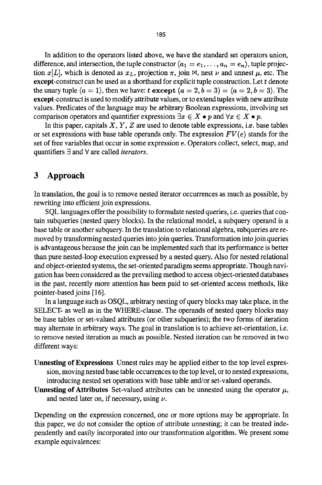In addition to the operators listed above, we have the standard set operators union, difference, and intersection, the tuple constructor  $\langle a_1 = e_1, \ldots, a_n = e_n \rangle$ , tuple projection  $x[L]$ , which is denoted as  $x_L$ , projection  $\pi$ , join  $\bowtie$ , nest  $\nu$  and unnest  $\mu$ , etc. The except-construct can be used as a shorthand for explicit tuple construction. Let t denote the unary tuple  $\langle a = 1 \rangle$ , then we have: t except  $(a = 2, b = 3) = \langle a = 2, b = 3 \rangle$ . The except-construct is used to modify attribute values, or to extend tuples with new attribute values. Predicates of the language may be arbitrary Boolean expressions, involving set comparison operators and quantifier expressions  $\exists x \in X \bullet p$  and  $\forall x \in X \bullet p$ .

In this paper, capitals  $X, Y, Z$  are used to denote table expressions, i.e. base tables or set expressions with base table operands only. The expression *FV(e)* stands for the set of free variables that occur in some expression e. Operators collect, select, map, and quantifiers 3 and V are called *iterators.* 

# **3 Approach**

In translation, the goal is to remove nested iterator occurrences as much as possible, by rewriting into efficient join expressions.

SQL languages offer the possibility to formulate nested queries, i.e. queries that contain subqueries (nested query blocks). In the relational model, a subquery operand is a base table or another subquery. In the translation to relational algebra, subqueries are removed by transforming nested queries into join queries. Transformation into join queries is advantageous because the join can be implemented such that its performance is better than pure nested-loop execution expressed by a nested query. Also for nested relational and object-oriented systems, the set-oriented paradigm seems appropriate. Though navigation has been considered as the prevailing method to access object-oriented databases in the past, recently more attention has been paid to set-oriented access methods, like pointer-based joins [16].

In a language such as OSQL, arbitrary nesting of query blocks may take place, in the SELECT- as well as in the WHERE-clause. The operands of nested query blocks may be base tables or set-valued attributes (or other subqueries); the two forms of iteration may alternate in arbitrary ways. The goal in translation is to achieve set-orientation, i.e. to remove nested iteration as much as possible. Nested iteration can be removed in two different ways:

- Unnesting of Expressions Unnest rules may be applied either to the top level expression, moving nested base table occurrences to the top level, or to nested expressions, introducing nested set operations with base table and/or set-valued operands.
- Unnesting of Attributes Set-valued attributes can be unnested using the operator  $\mu$ , and nested later on, if necessary, using  $\nu$ .

Depending on the expression concerned, one or more options may be appropriate. In this paper, we do not consider the option of attribute unnesting; it can be treated independently and easily incorporated into our transformation algorithm. We present some example equivalences: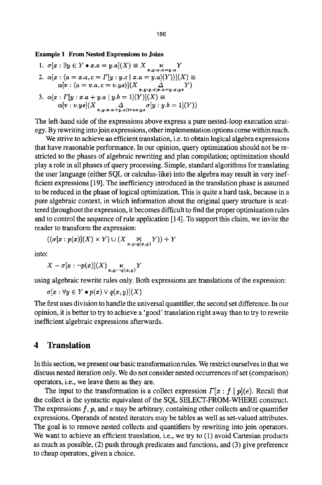**Example I From Nested Expressions to Joins** 

1. 
$$
\sigma[x : \exists y \in Y \bullet x.a = y.a](X) \equiv X \underset{x,y:x.a=y.a}{\times} Y
$$
  
\n2. 
$$
\alpha[x : \langle a = x.a, c = \Gamma[y : y.c \mid x.a = y.a](Y) \rangle](X) \equiv
$$
  
\n
$$
\alpha[v : \langle a = v.a, c = v.ys \rangle](X \underset{x,y:y.c \mid a=a=y.a:ys}{\times} Y)
$$
  
\n3. 
$$
\alpha[x : \Gamma[y : x.a + y.a \mid y.b = 1](Y)](X) \equiv
$$
  
\n
$$
\alpha[v : v.ys](X \underset{x,y:x.a+y.a}{\times} y.a+y.a|true;ys \sigma[y : y.b = 1](Y))
$$

The left-hand side of the expressions above express a pure nested-loop execution strategy. By rewriting into join expressions, other implementation options come within reach.

We strive to achieve an efficient translation, i.e. to obtain logical algebra expressions that have reasonable performance. In our opinion, query optimization should not be restricted to the phases of algebraic rewriting and plan compilation; optimization should play a role in all phases of query processing. Simple, standard algorithms for translating the user language (either SQL or calculus-like) into the algebra may result in very inefficient expressions [19]. The inefficiency introduced in the translation phase is assumed to be reduced in the phase of logical optimization. This is quite a hard task, because in a pure algebraic context, in which information about the original query structure is scattered throughout the expression, it becomes difficult to find the proper optimization rules and to control the sequence of rule application [14]. To support this claim, we invite the reader to transform the expression:

$$
((\sigma[x:p(x)](X) \times Y) \cup (X \underset{x,y:q(x,y)}{\bowtie} Y)) \div Y
$$

into:

$$
X-\sigma[x:\neg p(x)](X)\underset{x,y:\neg q(x,y)}{\ltimes}Y
$$

using algebraic rewrite rules only. Both expressions are translations of the expression:

$$
\sigma[x:\forall y\in Y\bullet p(x)\vee q(x,y)](X)
$$

The first uses division to handle the universal quantifier, the second set difference. In our opinion, it is better to try to achieve a 'good' translation right away than to try to rewrite inefficient algebraic expressions afterwards.

# **4 Translation**

In this section, we present our basic transformation rules. We restrict ourselves in that we discuss nested iteration only. We do not consider nested occurrences of set (comparison) operators, i.e., we leave them as they are.

The input to the transformation is a collect expression  $\Gamma[x : f | p](e)$ . Recall that the collect is the syntactic equivalent of the SQL SELECT-FROM-WHERE construct. The expressions  $f$ ,  $p$ , and  $e$  may be arbitrary, containing other collects and/or quantifier expressions. Operands of nested iterators may be tables as well as set-valued attributes. The goal is to remove nested collects and quantifiers by rewriting into join operators. We want to achieve an efficient translation, i.e., we try to (1) avoid Cartesian products as much as possible, (2) push through predicates and functions, and (3) give preference to cheap operators, given a choice.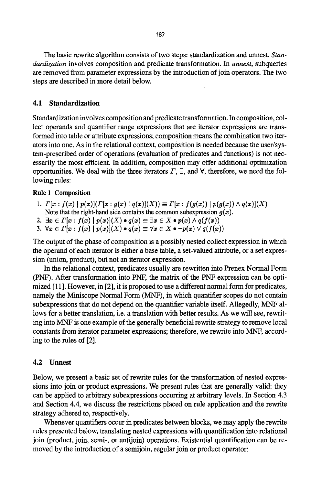The basic rewrite algorithm consists of two steps: standardization and unnest. *Standardization* involves composition and predicate transformation. In *unnest,* subqueries are removed from parameter expressions by the introduction of join operators. The two steps are described in more detail below.

### **4.1 Standardization**

Standardization involves composition and predicate transformation. In composition, collect operands and quantifier range expressions that are iterator expressions are transformed into table or attribute expressions; composition means the combination two iterators into one. As in the relational context, composition is needed because the user/system-prescribed order of operations (evaluation of predicates and functions) is not necessarily the most efficient. In addition, composition may offer additional optimization opportunities. We deal with the three iterators  $\Gamma$ ,  $\exists$ , and  $\forall$ , therefore, we need the following rules:

#### **Rule 1 Composition**

- *1.*  $\Gamma[x : f(x) \mid p(x)](\Gamma[x : g(x) \mid q(x)](X)) \equiv \Gamma[x : f(g(x)) \mid p(g(x)) \wedge q(x)](X)$ Note that the right-hand side contains the common subexpression  $q(x)$ .
- 2.  $\exists x \in \Gamma[x : f(x) \mid p(x)](X) \bullet q(x) \equiv \exists x \in X \bullet p(x) \land q(f(x))$
- 3.  $\forall x \in \Gamma[x : f(x) \mid p(x)](X) \bullet q(x) \equiv \forall x \in X \bullet \neg p(x) \vee q(f(x))$

The output of the phase of composition is a possibly nested collect expression in which the operand of each iterator is either a base table, a set-valued attribute, or a set expression (union, product), but not an iterator expression.

In the relational context, predicates usually are rewritten into Prenex Normal Form (PNF). After transformation into PNF, the matrix of the PNF expression can be optimized [11]. However, in [2], it is proposed to use a different normal form for predicates, namely the Miniscope Normal Form (MNF), in which quantifier scopes do not contain subexpressions that do not depend on the quantifier variable itself. Allegedly, MNF allows for a better translation, i.e. a translation with better results. As we will see, rewriting into MNF is one example of the generally beneficial rewrite strategy to remove local constants from iterator parameter expressions; therefore, we rewrite into MNF, according to the rules of [2].

#### **4.2 Unnest**

Below, we present a basic set of rewrite rules for the transformation of nested expressions into join or product expressions. We present rules that are generally valid: they can be applied to arbitrary subexpressions occurring at arbitrary levels. In Section 4.3 and Section 4.4, we discuss the restrictions placed on rule application and the rewrite strategy adhered to, respectively.

Whenever quantifiers occur in predicates between blocks, we may apply the rewrite rules presented below, translating nested expressions with quantification into relational join (product, join, semi-, or antijoin) operations. Existential quantification can be removed by the introduction of a semijoin, regular join or product operator: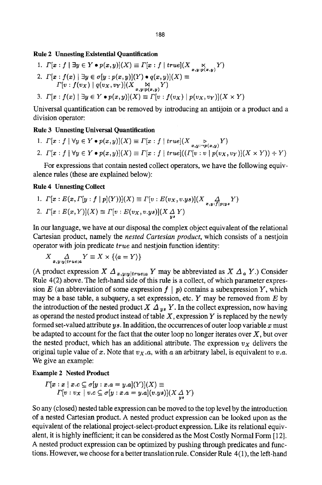#### **Rule 2 Unnesting Existential Quantification**

1.  $\Gamma[x : f \mid \exists y \in Y \bullet p(x,y)](X) \equiv \Gamma[x : f \mid true](X \mid X \mid Y)$ 

2. 
$$
\Gamma[x : f(x) \mid \exists y \in \sigma[y : p(x, y)](Y) \bullet q(x, y)](X) \equiv
$$

$$
\Gamma[v : f(v_X) \mid q(v_X, v_Y)](X \underset{x, y: p(x, y)}{\bowtie} Y)
$$

$$
\Gamma[x : f(x) \mid \exists y \in Y \bullet p(x, y)](X) \equiv \Gamma[v : f(v_X) \mid p(v_X, v_Y)](X \times Y)
$$

Universal quantification can be removed by introducing an antijoin or a product and a division operator:

### **Rule 3 Unnesting Universal Quantification**

- 
- *l.*  $\Gamma[x:f | \forall y \in Y \bullet p(x,y)](X) \equiv \Gamma[x:f | true](X \downarrow x, y \rightarrow p(x,y))$ <br> *2.*  $\Gamma[x:f | \forall y \in Y \bullet p(x,y)](X) \equiv \Gamma[x:f | true]((\Gamma[v:v | p(v_X, v_Y)](X \times Y)) \div Y)$

For expressions that contain nested collect operators, we have the following equivalence rules (these are explained below):

### **Rule 4 Unnesting Collect**

*1.*  $\Gamma[x : E(x, \Gamma[y : f | p](Y))](X) \equiv \Gamma[v : E(v_X, v.ys)](X \underset{x,y : f | p; ys}{\Delta} Y)$ 2.  $\Gamma[x : E(x, Y)](X) \equiv \Gamma[v : E(v_X, v.y_s)](X \underset{y_s}{\Delta} Y)$ 

In our language, we have at our disposal the complex object equivalent of the relational Cartesian product, namely the *nested Cartesian product,* which consists of a nestjoin operator with join predicate *true* and nestjoin function identity:

$$
X \underset{x,y:y|true,a}{\triangle} Y \equiv X \times \{ \langle a=Y \rangle \}
$$

(A product expression *X*  $\Delta_{x,y:y|true;a}$  *Y* may be abbreviated as *X*  $\Delta_a$  *Y*.) Consider Rule 4(2) above. The left-hand side of this rule is a collect, of which parameter expression E (an abbreviation of some expression  $f | p$ ) contains a subexpression Y, which may be a base table, a subquery, a set expression, etc.  $Y$  may be removed from  $E$  by the introduction of the nested product  $X \Delta_{ys} Y$ . In the collect expression, now having as operand the nested product instead of table  $X$ , expression  $Y$  is replaced by the newly formed set-valued attribute  $ys$ . In addition, the occurrences of outer loop variable  $x$  must be adapted to account for the fact that the outer loop no longer iterates over  $X$ , but over the nested product, which has an additional attribute. The expression  $v<sub>X</sub>$  delivers the original tuple value of x. Note that  $v_X.a$ , with a an arbitrary label, is equivalent to  $v.a$ . We give an example:

### **Example 2 Nested Product**

$$
\Gamma[x:x \mid x.c \subseteq \sigma[y:x.a=y.a](Y)](X) \equiv
$$
  

$$
\Gamma[v:vx \mid v.c \subseteq \sigma[y:x.a=y.a](v.ys)](X \triangle Y)
$$

So any (closed) nested table expression can be moved to the top level by the introduction of a nested Cartesian product. A nested product expression can be looked upon as the equivalent of the relational project-select-product expression. Like its relational equivalent, it is highly inefficient; it can be considered as the Most Costly Normal Form [12]. A nested product expression can be optimized by pushing through predicates and functions. However, we choose for a better translation rule. Consider Rule 4(1), the left-hand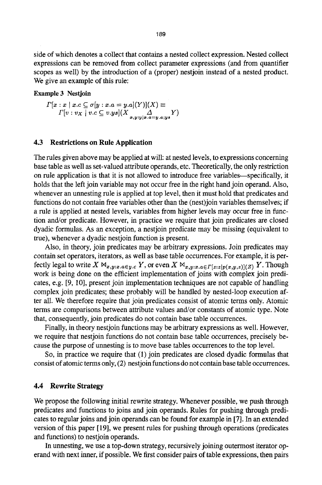side of which denotes a collect that contains a nested collect expression. Nested collect expressions can be removed from collect parameter expressions (and from quantifier scopes as well) by the introduction of a (proper) nestjoin instead of a nested product. We give an example of this rule:

#### Example 3 **Nestjoin**

$$
\Gamma[x:x \mid x.c \subseteq \sigma[y:x.a=y.a](Y)](X) \equiv
$$
\n
$$
\Gamma[v:v_X \mid v.c \subseteq v.ys](X \underset{x,y:y \mid x.a=y.a;ys}{\triangle} Y)
$$

#### **4.3 Restrictions on Rule Application**

The rules given above may be applied at will: at nested levels, to expressions concerning base table as well as set-valued attribute operands, etc. Theoretically, the only restriction on rule application is that it is not allowed to introduce free variables--specifically, it holds that the left join variable may not occur free in the right hand join operand. Also, whenever an unnesting rule is applied at top level, then it must hold that predicates and functions do not contain free variables other than the (nest)join variables themselves; if a rule is applied at nested levels, variables from higher levels may occur free in function and/or predicate. However, in practice we require that join predicates are closed dyadic formulas. As an exception, a nestjoin predicate may be missing (equivalent to true), whenever a dyadic nestjoin function is present.

Also, in theory, join predicates may be arbitrary expressions. Join predicates may contain set operators, iterators, as well as base table occurrences. For example, it is perfectly legal to write  $X \bowtie_{x,y:x.a \in y.c} Y$ , or even  $X \bowtie_{x,y:x.a \in \Gamma[z:z|p(x,y,z)](Z)} Y$ . Though work is being done on the efficient implementation of joins with complex join predicates, e.g. [9, 10], present join implementation techniques are not capable of handling complex join predicates; these probably will be handled by nested-loop execution after all. We therefore require that join predicates consist of atomic terms only. Atomic terms are comparisons between attribute values and/or constants of atomic type. Note that, consequently, join predicates do not contain base table occurrences.

Finally, in theory nestjoin functions may be arbitrary expressions as well. However, we require that nestjoin functions do not contain base table occurrences, precisely because the purpose of unnesting is to move base tables occurrences to the top level.

So, in practice we require that (1) join predicates are closed dyadic formulas that consist of atomic terms only, (2) nestjoin functions do not contain base table occurrences.

#### **4.4 Rewrite Strategy**

We propose the following initial rewrite strategy. Whenever possible, we push through predicates and functions to joins and join operands. Rules for pushing through predicates to regular joins and join operands can be found for example in [7]. In an extended version of this paper [19], we present rules for pushing through operations (predicates and functions) to nestjoin operands.

In unnesting, we use a top-down strategy, recursively joining outermost iterator operand with next inner, if possible. We first consider pairs of table expressions, then pairs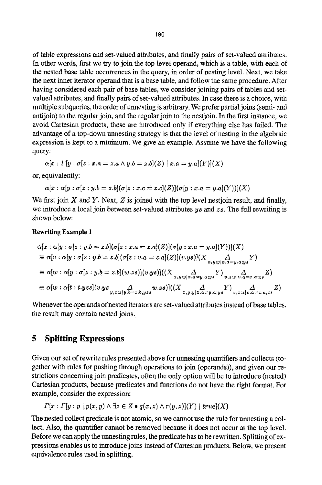of table expressions and set-valued attributes, and finally pairs of set-valued attributes. In other words, first we try to join the top level operand, which is a table, with each of the nested base table occurrences in the query, in order of nesting level. Next, we take the next inner iterator operand that is a base table, and follow the same procedure. After having considered each pair of base tables, we consider joining pairs of tables and setvalued attributes, and finally pairs of set-valued attributes. In case there is a choice, with multiple subqueries, the order of unnesting is arbitrary. We prefer partial joins (semi- and antijoin) to the regular join, and the regular join to the nestjoin. In the first instance, we avoid Cartesian products; these are introduced only if everything else has failed. The advantage of a top-down unnesting strategy is that the level of nesting in the algebraic expression is kept to a minimum. We give an example. Assume we have the following query:

$$
\alpha[x:\varGamma[y:\sigma[z:x.a=z.a\wedge y.b=z.b](Z)\mid x.a=y.a](Y)](X)
$$

or, equivalently:

$$
\alpha[x:\alpha[y:\sigma[z:y.b=z.b](\sigma[z:x.c=z.c](Z)](\sigma[y:x.a=y.a](Y))](X)
$$

We first join  $X$  and  $Y$ . Next,  $Z$  is joined with the top level nestjoin result, and finally, we introduce a local join between set-valued attributes *ys and zs. The* full rewriting is shown below:

### Rewriting Example 1

$$
\alpha[x : \alpha[y : \sigma[z : y.b = z.b](\sigma[z : x.a = z.a](Z)](\sigma[y : x.a = y.a](Y))](X)
$$
  
\n
$$
\equiv \alpha[v : \alpha[y : \sigma[z : y.b = z.b](\sigma[z : v.a = z.a](Z)](v.ys)](X \underset{x,y:y|x.a=y.a;y,s}{\Delta} Y)
$$
  
\n
$$
\equiv \alpha[w : \alpha[y : \sigma[z : y.b = z.b](w.zs)](v.ys)]((X \underset{x,y:y|x.a=y.a;y,s}{\Delta} Y) \underset{v,z:z|v.a=z.a;z,s}{\Delta} Z)
$$
  
\n
$$
\equiv \alpha[w : \alpha[t : t.yz s](v.ys \underset{y,z:z|y.b=z.b;yz s}{\Delta} w.z s)]((X \underset{x,y:y|x.a=y.a;yz s}{\Delta} Y) \underset{v,z:z|v.a=z.a;zs}{\Delta} Z)
$$

Whenever the operands of nested iterators are set-valued attributes instead of base tables, the result may contain nested joins.

# **5 Splitting Expressions**

Given our set of rewrite rules presented above for unnesting quantifiers and collects (together with rules for pushing through operations to join (operands)), and given our restrictions concerning join predicates, often the only option will be to introduce (nested) Cartesian products, because predicates and functions do not have the right format. For example, consider the expression:

$$
\varGamma[x:\varGamma[y:y\mid p(x,y)\wedge \exists z\in Z\bullet q(x,z)\wedge r(y,z)](Y)\mid true](X)
$$

The nested collect predicate is not atomic, so we cannot use the rule for unnesting a collect. Also, the quantifier cannot be removed because it does not occur at the top level. Before we can apply the unnesting rules, the predicate has to be rewritten. Splitting of expressions enables us to introduce joins instead of Cartesian products. Below, we present equivalence rules used in splitting.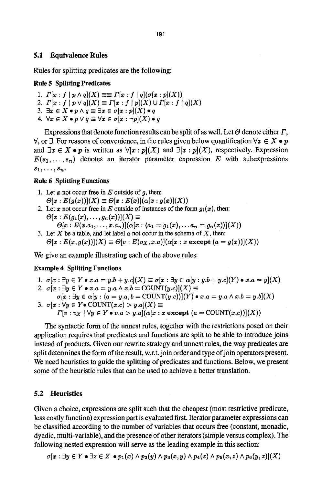### **5.1 Equivalence Rules**

Rules for splitting predicates are the following:

### **Rule 5 Splitting Predicates**

- 1.  $\Gamma[x : f | p \wedge q](X) \equiv \Gamma[x : f | q](\sigma[x : p](X))$
- 2.  $\Gamma[x : f | p \vee q](X) \equiv \Gamma[x : f | p](X) \cup \Gamma[x : f | q](X)$
- 3.  $\exists x \in X \bullet p \land q \equiv \exists x \in \sigma[x:p](X) \bullet q$
- 4.  $\forall x \in X \bullet p \lor q \equiv \forall x \in \sigma[x : \neg p](X) \bullet q$

Expressions that denote function results can be split of as well. Let  $\Theta$  denote either  $\Gamma$ ,  $\forall$ , or  $\exists$ . For reasons of convenience, in the rules given below quantification  $\forall x \in X \bullet p$ and  $\exists x \in X \bullet p$  is written as  $\forall [x : p](X)$  and  $\exists [x : p](X)$ , respectively. Expression  $E(s_1,...,s_n)$  denotes an iterator parameter expression E with subexpressions *81, . . . , 8n.* 

#### **Rule 6 Splitting Functions**

- 1. Let  $x$  not occur free in  $E$  outside of  $q$ , then:  $\Theta[x : E(g(x))](X) \equiv \Theta[x : E(x)](\alpha[x : g(x)](X))$
- 2. Let x not occur free in E outside of instances of the form  $g_i(x)$ , then:  $\Theta[x: E(g_1(x),\ldots,g_n(x))](X) \equiv$  $\Theta[x : E(x.a_1, \ldots, x.a_n)](\alpha[x : \langle a_1 = g_1(x), \ldots a_n = g_n(x) \rangle](X))$
- 3. Let X be a table, and let label  $\alpha$  not occur in the schema of X, then:  $\Theta[x: E(x,g(x))](X) \equiv \Theta[v: E(v_X, x.a)](\alpha[x: x \text{ except } (a = g(x))](X))$

We give an example illustrating each of the above rules:

#### **Example 4 Splitting Functions**

- 1.  $\sigma[x : \exists y \in Y \bullet x.a = y.b + y.c](X) \equiv \sigma[x : \exists y \in \alpha[y : y.b + y.c](Y) \bullet x.a = y](X)$
- 2.  $\sigma[x : \exists y \in Y \bullet x.a = y.a \land x.b = \text{COUNT}(y.c)](X) \equiv$  $\sigma[x : \exists y \in \alpha[y : \langle a = y.a, b = \text{COUNT}(y.c) \rangle](Y) \bullet x.a = y.a \land x.b = y.b](X)$
- 3.  $\sigma[x : \forall y \in Y \bullet \text{COUNT}(x.c) > y.a](X) \equiv$  $\Gamma[v : v_X \mid \forall y \in Y \bullet v.a > y.a](\alpha[x : x \text{ except } (a = \text{COUNT}(x.c))] (X))$

The syntactic form of the unnest rules, together with the restrictions posed on their application requires that predicates and functions are split to be able to introduce joins instead of products. Given our rewrite strategy and unnest rules, the way predicates are split determines the form of the result, w.r.t, join order and type of join operators present. We need heuristics to guide the splitting of predicates and functions. Below, we present some of the heuristic rules that can be used to achieve a better translation.

### **5.2 Heuristics**

Given a choice, expressions are split such that the cheapest (most restrictive predicate, less costly function) expression part is evaluated first. Iterator parameter expressions can be classified according to the number of variables that occurs free (constant, monadic, dyadic, multi-variable), and the presence of other iterators (simple versus complex). The following nested expression will serve as the leading example in this section:

 $\sigma[x: \exists y \in Y \bullet \exists z \in Z \bullet p_1(x) \land p_2(y) \land p_3(x,y) \land p_4(z) \land p_5(x,z) \land p_6(y,z)](X)$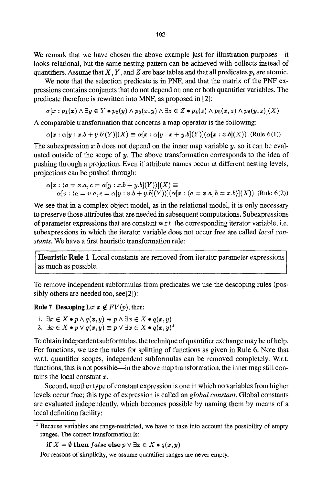We remark that we have chosen the above example just for illustration purposes—it looks relational, but the same nesting pattern can be achieved with collects instead of quantifiers. Assume that X, Y, and Z are base tables and that all predicates  $p_i$  are atomic.

We note that the selection predicate is in PNF, and that the matrix of the PNF expressions contains conjuncts that do not depend on one or both quantifier variables. The predicate therefore is rewritten into MNF, as proposed in [2]:

$$
\sigma[x:p_1(x) \land \exists y \in Y \bullet p_2(y) \land p_3(x,y) \land \exists z \in Z \bullet p_4(z) \land p_5(x,z) \land p_6(y,z)](X)
$$

A comparable transformation that concerns a map operator is the following:

$$
\alpha[x:\alpha[y:x.b+y.b](Y)](X) \equiv \alpha[x:\alpha[y:x+y.b](Y)](\alpha[x:x.b](X))
$$
 (Rule 6(1))

The subexpression  $x.b$  does not depend on the inner map variable  $y$ , so it can be evaluated outside of the scope of  $y$ . The above transformation corresponds to the idea of pushing through a projection. Even if attribute names occur at different nesting levels, projections can be pushed through:

$$
\alpha[x : \langle a = x.a, c = \alpha[y : x.b + y.b](Y) \rangle](X) \equiv
$$
  
 
$$
\alpha[v : \langle a = v.a, c = \alpha[y : v.b + y.b](Y) \rangle](\alpha[x : \langle a = x.a, b = x.b \rangle](X))
$$
 (Rule 6(2))

We see that in a complex object model, as in the relational model, it is only necessary to preserve those attributes that are needed in subsequent computations. Subexpressions of parameter expressions that are constant w.r.t, the corresponding iterator variable, i.e. subexpressions in which the iterator variable does not occur free are called *local constants.* We have a first heuristic transformation rule:

Heuristic Rule 1 Local constants are removed from iterator parameter expressions as much as possible.

To remove independent subformulas from predicates we use the descoping rules (possibly others are needed too, see[2]):

**Rule 7** Descoping Let  $x \notin FV(p)$ , then:

- *1.*  $\exists x \in X \bullet p \land q(x, y) \equiv p \land \exists x \in X \bullet q(x, y)$
- 2.  $\exists x \in X \bullet p \vee q(x,y) \equiv p \vee \exists x \in X \bullet q(x,y)^{1}$

To obtain independent subformulas, the technique of quantifier exchange may be of help. For functions, we use the rules for splitting of functions as given in Rule 6. Note that w.r.t, quantifier scopes, independent subformulas can be removed completely. W.r.t. functions, this is not possible—in the above map transformation, the inner map still contains the local constant  $x$ .

Second, another type of constant expression is one in which no variables from higher levels occur free; this type of expression is called an *global constant.* Global constants are evaluated independently, which becomes possible by naming them by means of a local definition facility:

if  $X = \emptyset$  then *false* else  $p \vee \exists x \in X \bullet q(x, y)$ 

For reasons of simplicity, we assume quantifier ranges are never empty.

<sup>&</sup>lt;sup>1</sup> Because variables are range-restricted, we have to take into account the possibility of empty ranges. The correct transformation is: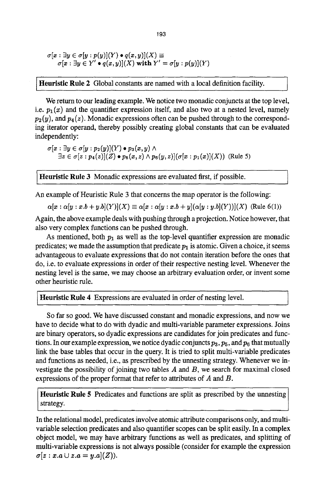$$
\sigma[x : \exists y \in \sigma[y : p(y)](Y) \bullet q(x, y)](X) \equiv
$$
  

$$
\sigma[x : \exists y \in Y' \bullet q(x, y)](X) \text{ with } Y' = \sigma[y : p(y)](Y)
$$

Heuristic Rule 2 Global constants are named with a local definition facility.

We return to our leading example. We notice two monadic conjuncts at the top level, i.e.  $p_1(x)$  and the quantifier expression itself, and also two at a nested level, namely  $p_2(y)$ , and  $p_4(z)$ . Monadic expressions often can be pushed through to the corresponding iterator operand, thereby possibly creating global constants that can be evaluated independently:

 $\sigma[x : \exists y \in \sigma[y : p_2(y)](Y) \bullet p_3(x, y) \wedge$  $\exists z \in \sigma[z : p_4(z)](Z) \bullet p_5(x, z) \land p_6(y, z)](\sigma[x : p_1(x)](X))$  (Rule 5)

Heuristic Rule 3 Monadic expressions are evaluated first, if possible.

An example of Heuristic Rule 3 that concerns the map operator is the following:

 $\alpha[x : \alpha[y : x.b + y.b](Y)](X) \equiv \alpha[x : \alpha[y : x.b + y](\alpha[y : y.b](Y))](X)$  (Rule 6(1))

Again, the above example deals with pushing through a projection. Notice however, that also very complex functions can be pushed through.

As mentioned, both  $p_1$  as well as the top-level quantifier expression are monadic predicates; we made the assumption that predicate  $p_1$  is atomic. Given a choice, it seems advantageous to evaluate expressions that do not contain iteration before the ones that do, i.e. to evaluate expressions in order of their respective nesting level. Whenever the nesting level is the same, we may choose an arbitrary evaluation order, or invent some other heuristic rule.

I Heuristic Rule 4 Expressions are evaluated in order of nesting level.

So far so good. We have discussed constant and monadic expressions, and now we have to decide what to do with dyadic and multi-variable parameter expressions. Joins are binary operators, so dyadic expressions are candidates for join predicates and functions. In our example expression, we notice dyadic conjuncts  $p_3$ ,  $p_5$ , and  $p_6$  that mutually link the base tables that occur in the query. It is tried to split multi-variable predicates and functions as needed, i.e., as prescribed by the unnesting strategy. Whenever we investigate the possibility of joining two tables  $A$  and  $B$ , we search for maximal closed expressions of the proper format that refer to attributes of A and B.

Heuristic Rule 5 Predicates and functions are split as prescribed by the unnesting strategy.

In the relational model, predicates involve atomic attribute comparisons only, and multivariable selection predicates and also quantifier scopes can be split easily. In a complex object model, we may have arbitrary functions as well as predicates, and splitting of multi-variable expressions is not always possible (consider for example the expression  $\sigma[z: x.a \cup z.a = y.a](Z)$ ).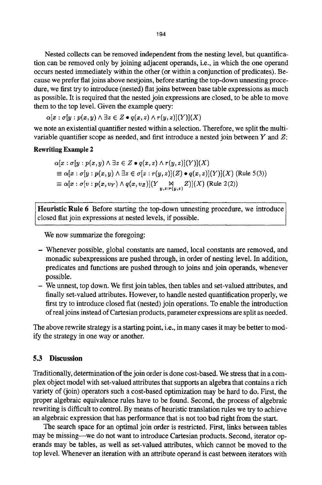Nested collects can be removed independent from the nesting level, but quantification can be removed only by joining adjacent operands, i.e., in which the one operand occurs nested immediately within the other (or within a conjunction of predicates). Because we prefer flat joins above nestjoins, before starting the top-down unnesting procedure, we first try to introduce (nested) flat joins between base table expressions as much as possible. It is required that the nested join expressions are closed, to be able to move them to the top level. Given the example query:

 $\alpha[x : \sigma[y : p(x,y) \land \exists z \in Z \bullet q(x,z) \land r(y,z)](Y)](X)$ 

we note an existential quantifier nested within a selection. Therefore, we split the multivariable quantifier scope as needed, and first introduce a nested join between  $Y$  and  $Z$ :

#### **Rewriting Example 2**

 $\alpha[x : \sigma[y : p(x, y) \land \exists z \in Z \bullet q(x, z) \land r(y, z)](Y)](X)$  $\equiv \alpha[x : \sigma[y : p(x, y) \land \exists z \in \sigma[z : r(y, z)](Z) \bullet q(x, z)](Y)](X)$  (Rule 5(3))  $\equiv \alpha[x : \sigma[v : p(x, v_Y) \wedge q(x, v_Z)](Y \underset{y, z : r(y, z)}{\bowtie} Z)](X)$  (Rule 2(2))

Heuristic Rule 6 Before starting the top-down unnesting procedure, we introduce closed fiat join expressions at nested levels, if possible.

We now summarize the foregoing:

- Whenever possible, global constants are named, local constants are removed, and monadic subexpressions are pushed through, in order of nesting level. In addition, predicates and functions are pushed through to joins and join operands, whenever possible.
- We unnest, top down. We first join tables, then tables and set-valued attributes, and finally set-valued attributes. However, to handle nested quantification properly, we first try to introduce closed flat (nested) join operations. To enable the introduction of real joins instead of Cartesian products, parameter expressions are split as needed.

The above rewrite strategy is a starting point, i.e., in many cases it may be better to modify the strategy in one way or another.

### **5.3 Discussion**

Traditionally, determination of the join order is done cost-based. We stress that in a complex object model with set-valued attributes that supports an algebra that contains a rich variety of (join) operators such a cost-based optimization may be hard to do. First, the proper algebraic equivalence rules have to he found. Second, the process of algebraic rewriting is difficult to control. By means of heuristic translation rules we try to achieve an algebraic expression that has performance that is not too bad right from the start.

The search space for an optimal join order is restricted. First, links between tables may be missing--we do not want to introduce Cartesian products. Second, iterator operands may be tables, as well as set-valued attributes, which cannot be moved to the top level. Whenever an iteration with an attribute operand is cast between iterators with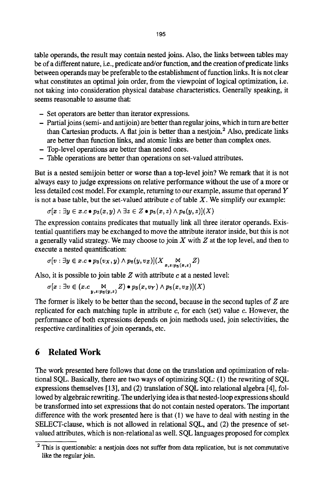table operands, the result may contain nested joins. Also, the links between tables may be of a different nature, i.e., predicate and/or function, and the creation of predicate links between operands may be preferable to the establishment of function links. It is not clear what constitutes an optimal join order, from the viewpoint of logical optimization, i.e. not taking into consideration physical database characteristics. Generally speaking, it seems reasonable to assume that:

- Set operators are better than iterator expressions.
- Partial joins (semi- and antijoin) are better than regular joins, which in turn are better than Cartesian products. A flat join is better than a nestjoin. $<sup>2</sup>$  Also, predicate links</sup> are better than function links, and atomic links are better than complex ones.
- Top-level operations are better than nested ones.
- Table operations are better than operations on set-valued attributes.

But is a nested semijoin better or worse than a top-level join? We remark that it is not always easy to judge expressions on relative performance without the use of a more or less detailed cost model. For example, returning to our example, assume that operand Y is not a base table, but the set-valued attribute  $c$  of table  $X$ . We simplify our example:

$$
\sigma[x:\exists y\in x. c\bullet p_3(x,y)\land\exists z\in Z\bullet p_5(x,z)\land p_6(y,z)](X)
$$

The expression contains predicates that mutually link all three iterator operands. Existential quantifiers may be exchanged to move the attribute iterator inside, but this is not a generally valid strategy. We may choose to join  $X$  with  $Z$  at the top level, and then to execute a nested quantification:

$$
\sigma[v:\exists y\in x.c\bullet p_3(v_X,y)\land p_6(y,v_Z)](X\underset{x,z:p_5(x,z)}{\bowtie}Z)
$$

Also, it is possible to join table  $Z$  with attribute  $c$  at a nested level:

$$
\sigma[x:\exists v\in(x.c\underset{y,z:p_6(y,z)}{\bowtie}Z)\bullet p_3(x,v_Y)\wedge p_5(x,v_Z)](X)
$$

The former is likely to be better than the second, because in the second tuples of  $Z$  are replicated for each matching tuple in attribute  $c$ , for each (set) value  $c$ . However, the performance of both expressions depends on join methods used, join selectivities, the respective cardinalities of join operands, etc.

# **6 Related Work**

The work presented here follows that done on the translation and optimization of relational SQL. Basically, there are two ways of optimizing SQL: (1) the rewriting of SQL expressions themselves [13], and (2) translation of SQL into relational algebra [4], followed by algebraic rewriting. The underlying idea is that nested-loop expressions should be transformed into set expressions that do not contain nested operators. The important difference with the work presented here is that (1) we have to deal with nesting in the SELECT-clause, which is not allowed in relational SQL, and (2) the presence of setvalued attributes, which is non-relational as well. SQL languages proposed for complex

<sup>&</sup>lt;sup>2</sup> This is questionable: a nestjoin does not suffer from data replication, but is not commutative like the regular join.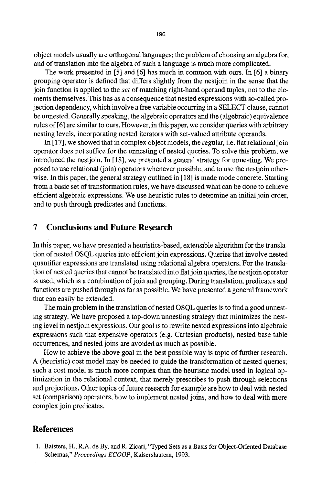object models usually are orthogonal languages; the problem of choosing an algebra for, and of translation into the algebra of such a language is much more complicated.

The work presented in [5] and [6] has much in common with ours. In [6] a binary grouping operator is defined that differs slightly from the nestjoin in the sense that the join function is applied to the *set* of matching right-hand operand tuples, not to the elements themselves. This has as a consequence that nested expressions with so-called projection dependency, which involve a free variable occurring in a SELECT-clause, cannot be unnested. Generally speaking, the algebraic operators and the (algebraic) equivalence rules of [6] are similar to ours. However, in this paper, we consider queries with arbitrary nesting levels, incorporating nested iterators with set-valued attribute operands.

In  $[17]$ , we showed that in complex object models, the regular, i.e. flat relational join operator does not suffice for the unnesting of nested queries. To solve this problem, we introduced the nestjoin. In [18], we presented a general strategy for unnesting. We proposed to use relational (join) operators whenever possible, and to use the nestjoin otherwise. In this paper, the general strategy outlined in [18] is made mode concrete. Starting from a basic set of transformation rules, we have discussed what can be done to achieve efficient algebraic expressions. We use heuristic rules to determine an initial join order, and to push through predicates and functions.

# **7 Conclusions and Future Research**

In this paper, we have presented a heuristics-based, extensible algorithm for the translation of nested OSQL queries into efficient join expressions. Queries that involve nested quantifier expressions are translated using relational algebra operators. For the translation of nested queries that cannot be translated into fiat join queries, the nestjoin operator is used, which is a combination of join and grouping. During translation, predicates and functions are pushed through as far as possible. We have presented a general framework that can easily be extended.

The main problem in the translation of nested OSQL queries is to find a good unnesting strategy. We have proposed a top-down unnesting strategy that minimizes the nesting level in nestjoin expressions. Our goal is to rewrite nested expressions into algebraic expressions such that expensive operators (e.g. Cartesian products), nested base table occurrences, and nested joins are avoided as much as possible.

How to achieve the above goal in the best possible way is topic of further research. A (heuristic) cost model may be needed to guide the transformation of nested queries; such a cost model is much more complex than the heuristic model used in logical optimization in the relational context, that merely prescribes to push through selections and projections. Other topics of future research for example are how to deal with nested set (comparison) operators, how to implement nested joins, and how to deal with more complex join predicates.

# **References**

1. Balsters, H., R.A. de By, and R. Zicari, "Typed Sets as a Basis for Object-Oriented Database Schemas," *Proceedings ECOOP,* Kaiserslautern, 1993.